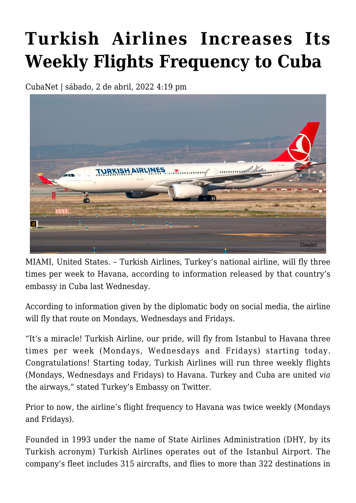## **[Turkish Airlines Increases Its](https://www.cubanet.org/english/turkish-airlines-increases-its-weekly-flights-frequency-to-cuba/) [Weekly Flights Frequency to Cuba](https://www.cubanet.org/english/turkish-airlines-increases-its-weekly-flights-frequency-to-cuba/)**

CubaNet | sábado, 2 de abril, 2022 4:19 pm



MIAMI, United States. – Turkish Airlines, Turkey's national airline, will fly three times per week to Havana, according to information released by that country's embassy in Cuba last Wednesday.

According to information given by the diplomatic body on social media, the airline will fly that route on Mondays, Wednesdays and Fridays.

"It's a miracle! Turkish Airline, our pride, will fly from Istanbul to Havana three times per week (Mondays, Wednesdays and Fridays) starting today. Congratulations! Starting today, Turkish Airlines will run three weekly flights (Mondays, Wednesdays and Fridays) to Havana. Turkey and Cuba are united *via* the airways," stated Turkey's Embassy on Twitter.

Prior to now, the airline's flight frequency to Havana was twice weekly (Mondays and Fridays).

Founded in 1993 under the name of State Airlines Administration (DHY, by its Turkish acronym) Turkish Airlines operates out of the Istanbul Airport. The company's fleet includes 315 aircrafts, and flies to more than 322 destinations in